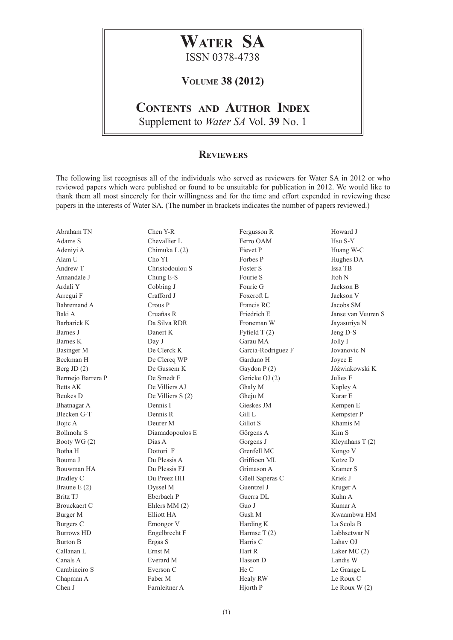## **Water SA** ISSN 0378-4738

## **Volume 38 (2012)**

## **Contents and Author Index**

Supplement to *Water SA* Vol. **39** No. 1

## **Reviewers**

The following list recognises all of the individuals who served as reviewers for Water SA in 2012 or who reviewed papers which were published or found to be unsuitable for publication in 2012. We would like to thank them all most sincerely for their willingness and for the time and effort expended in reviewing these papers in the interests of Water SA. (The number in brackets indicates the number of papers reviewed.)

Abraham TN Adams S Adeniyi A Alam U Andrew T Annandale J Ardali Y Arregui F Bahremand A Baki A Barbarick K Barnes J Barnes K Basinger M Beekman H Berg JD (2) Bermejo Barrera P Betts AK Beukes D Bhatnagar A Blecken G-T Bojic A Bollmohr S Booty WG (2) Botha H Bouma J Bouwman HA Bradley C Braune E (2) Britz TJ Brouckaert C Burger M Burgers C Burrows HD Burton B Callanan L Canals A Carabineiro S Chapman A Chen J

Chen Y-R Chevallier L Chimuka L (2) Cho YI Christodoulou S Chung E-S Cobbing J Crafford J Crous P Cruañas R Da Silva RDR Danert K Day J De Clerck K De Clercq WP De Gussem K De Smedt F De Villiers AJ De Villiers S (2) Dennis I Dennis R Deurer M Diamadopoulos E Dias A Dottori F Du Plessis A Du Plessis FJ Du Preez HH Dyssel M Eberbach P Ehlers MM (2) Elliott HA Emongor V Engelbrecht F Ergas S Ernst M Everard M Everson C Faber M

Farnleitner A

Fergusson R Ferro OAM Fievet P Forbes P Foster S Fourie S Fourie G Foxcroft L Francis RC Friedrich E Froneman W Fyfield T (2) Garau MA Garcia-Rodriguez F Garduno H Gaydon P (2) Gericke OJ (2) Ghaly M Gheju M Gieskes JM Gill L Gillot S Görgens A Gorgens J Grenfell MC Griffioen ML Grimason A Güell Saperas C Guentzel J Guerra DL Guo J Gush M Harding K Harmse T (2) Harris C Hart R Hasson D He C Healy RW

Howard J Hsu S-Y Huang W-C Hughes DA Issa TB Itoh N Jackson B Jackson V Jacobs SM Janse van Vuuren S Jayasuriya N Jeng D-S Jolly I Jovanovic N Joyce E Jóźwiakowski K Julies E Kapley A Karar E Kempen E Kempster P Khamis M Kim S Kleynhans T (2) Kongo V Kotze D Kramer S Kriek J Kruger A Kuhn A Kumar A Kwaambwa HM La Scola B Labhsetwar N Lahav OJ Laker MC (2) Landis W Le Grange L Le Roux C Le Roux W (2)

Hjorth P